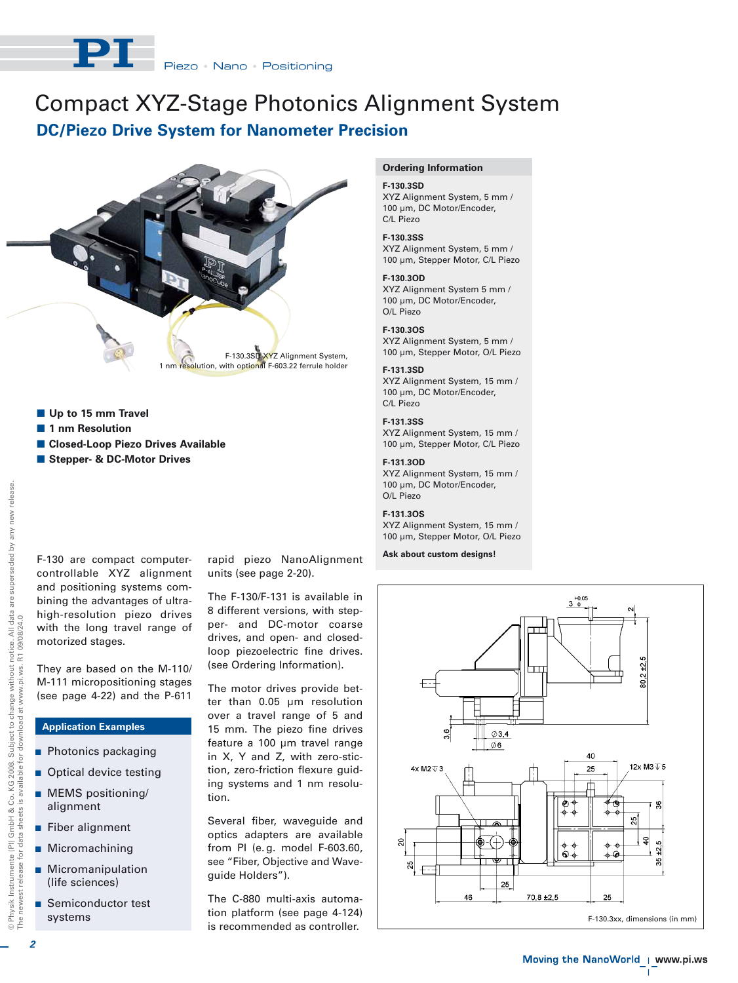# Compact XYZ-Stage Photonics Alignment System **DC/Piezo Drive System for Nanometer Precision**



- **Up to 15 mm Travel**
- **1 nm Resolution**
- **E Closed-Loop Piezo Drives Available**
- **E** Stepper- & DC-Motor Drives

F-130 are compact computercontrollable XYZ alignment and positioning systems combining the advantages of ultrahigh-resolution piezo drives with the long travel range of motorized stages.

They are based on the M-110/ M-111 micropositioning stages (see page 4-22) and the P-611

## **Application Examples**

- **Photonics packaging**
- **Optical device testing**
- **MEMS** positioning/ alignment
- **E** Fiber alignment
- Micromachining
- **Micromanipulation** (life sciences)
- - Semiconductor test systems

rapid piezo NanoAlignment units (see page 2-20).

The F-130/F-131 is available in 8 different versions, with stepper- and DC-motor coarse drives, and open- and closedloop piezoelectric fine drives. (see Ordering Information).

The motor drives provide better than 0.05 µm resolution over a travel range of 5 and 15 mm. The piezo fine drives feature a 100 µm travel range in X, Y and Z, with zero-stiction, zero-friction flexure guiding systems and 1 nm resolution.

Several fiber, waveguide and optics adapters are available from PI (e. g. model F-603.60, see "Fiber, Objective and Waveguide Holders").

The C-880 multi-axis automation platform (see page 4-124) is recommended as controller.

#### **Ordering Information**

## **F-130.3SD**

XYZ Alignment System, 5 mm / 100 µm, DC Motor/Encoder, C/L Piezo

**F-130.3SS** XYZ Alignment System, 5 mm / 100 µm, Stepper Motor, C/L Piezo

**F-130.3OD**

XYZ Alignment System 5 mm / 100 µm, DC Motor/Encoder, O/L Piezo

## **F-130.3OS**

XYZ Alignment System, 5 mm / 100 µm, Stepper Motor, O/L Piezo

## **F-131.3SD**

XYZ Alignment System, 15 mm / 100 µm, DC Motor/Encoder, C/L Piezo

#### **F-131.3SS**

XYZ Alignment System, 15 mm / 100 µm, Stepper Motor, C/L Piezo

#### **F-131.3OD**

XYZ Alignment System, 15 mm / 100 µm, DC Motor/Encoder, O/L Piezo

#### **F-131.3OS**

XYZ Alignment System, 15 mm / 100 µm, Stepper Motor, O/L Piezo

**Ask about custom designs!**



 $\blacksquare$ 

© Physik Instrumente (PI) GmbH & Co. KG 2008. Subject to change without notice. All data are superseded by any new release.

*2*